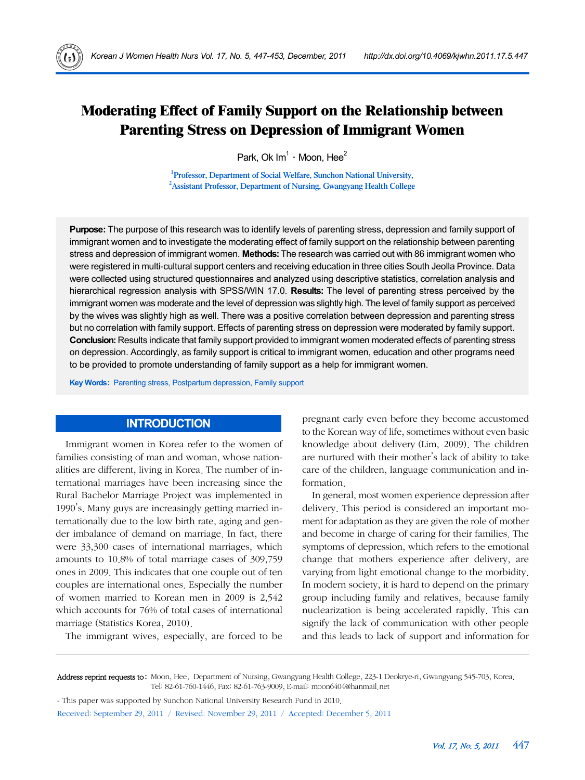

# **Moderating Effect of Family Support on the Relationship between Parenting Stress on Depression of Immigrant Women**

Park, Ok Im<sup>1</sup>  $\cdot$  Moon, Hee<sup>2</sup>

**1 Professor, Department of Social Welfare, Sunchon National University, 2 Assistant Professor, Department of Nursing, Gwangyang Health College** 

**Purpose:** The purpose of this research was to identify levels of parenting stress, depression and family support of immigrant women and to investigate the moderating effect of family support on the relationship between parenting stress and depression of immigrant women. **Methods:** The research was carried out with 86 immigrant women who were registered in multi-cultural support centers and receiving education in three cities South Jeolla Province. Data were collected using structured questionnaires and analyzed using descriptive statistics, correlation analysis and hierarchical regression analysis with SPSS/WIN 17.0. **Results:** The level of parenting stress perceived by the immigrant women was moderate and the level of depression was slightly high. The level of family support as perceived by the wives was slightly high as well. There was a positive correlation between depression and parenting stress but no correlation with family support. Effects of parenting stress on depression were moderated by family support. **Conclusion:** Results indicate that family support provided to immigrant women moderated effects of parenting stress on depression. Accordingly, as family support is critical to immigrant women, education and other programs need to be provided to promote understanding of family support as a help for immigrant women.

**Key Words:** Parenting stress, Postpartum depression, Family support

# **INTRODUCTION**

Immigrant women in Korea refer to the women of families consisting of man and woman, whose nationalities are different, living in Korea. The number of international marriages have been increasing since the Rural Bachelor Marriage Project was implemented in 1990's. Many guys are increasingly getting married internationally due to the low birth rate, aging and gender imbalance of demand on marriage. In fact, there were 33,300 cases of international marriages, which amounts to 10.8% of total marriage cases of 309,759 ones in 2009. This indicates that one couple out of ten couples are international ones. Especially the number of women married to Korean men in 2009 is 2,542 which accounts for 76% of total cases of international marriage (Statistics Korea, 2010).

The immigrant wives, especially, are forced to be

pregnant early even before they become accustomed to the Korean way of life, sometimes without even basic knowledge about delivery (Lim, 2009). The children are nurtured with their mother's lack of ability to take care of the children, language communication and information.

In general, most women experience depression after delivery. This period is considered an important moment for adaptation as they are given the role of mother and become in charge of caring for their families. The symptoms of depression, which refers to the emotional change that mothers experience after delivery, are varying from light emotional change to the morbidity. In modern society, it is hard to depend on the primary group including family and relatives, because family nuclearization is being accelerated rapidly. This can signify the lack of communication with other people and this leads to lack of support and information for

Address reprint requests to: Moon, Hee, Department of Nursing, Gwangyang Health College, 223-1 Deokrye-ri, Gwangyang 545-703, Korea. Tel: 82-61-760-1446, Fax: 82-61-763-9009, E-mail: moon6404@hanmail.net

- This paper was supported by Sunchon National University Research Fund in 2010. Received: September 29, 2011 / Revised: November 29, 2011 / Accepted: December 5, 2011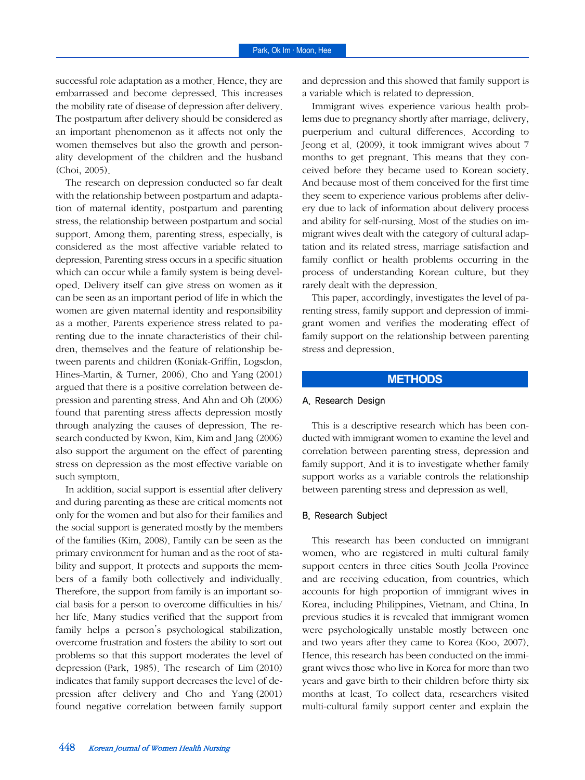successful role adaptation as a mother. Hence, they are embarrassed and become depressed. This increases the mobility rate of disease of depression after delivery. The postpartum after delivery should be considered as an important phenomenon as it affects not only the women themselves but also the growth and personality development of the children and the husband (Choi, 2005).

The research on depression conducted so far dealt with the relationship between postpartum and adaptation of maternal identity, postpartum and parenting stress, the relationship between postpartum and social support. Among them, parenting stress, especially, is considered as the most affective variable related to depression. Parenting stress occurs in a specific situation which can occur while a family system is being developed. Delivery itself can give stress on women as it can be seen as an important period of life in which the women are given maternal identity and responsibility as a mother. Parents experience stress related to parenting due to the innate characteristics of their children, themselves and the feature of relationship between parents and children (Koniak-Griffin, Logsdon, Hines-Martin, & Turner, 2006). Cho and Yang (2001) argued that there is a positive correlation between depression and parenting stress. And Ahn and Oh (2006) found that parenting stress affects depression mostly through analyzing the causes of depression. The research conducted by Kwon, Kim, Kim and Jang (2006) also support the argument on the effect of parenting stress on depression as the most effective variable on such symptom.

In addition, social support is essential after delivery and during parenting as these are critical moments not only for the women and but also for their families and the social support is generated mostly by the members of the families (Kim, 2008). Family can be seen as the primary environment for human and as the root of stability and support. It protects and supports the members of a family both collectively and individually. Therefore, the support from family is an important social basis for a person to overcome difficulties in his/ her life. Many studies verified that the support from family helps a person's psychological stabilization, overcome frustration and fosters the ability to sort out problems so that this support moderates the level of depression (Park, 1985). The research of Lim (2010) indicates that family support decreases the level of depression after delivery and Cho and Yang (2001) found negative correlation between family support

and depression and this showed that family support is a variable which is related to depression.

Immigrant wives experience various health problems due to pregnancy shortly after marriage, delivery, puerperium and cultural differences. According to Jeong et al. (2009), it took immigrant wives about 7 months to get pregnant. This means that they conceived before they became used to Korean society. And because most of them conceived for the first time they seem to experience various problems after delivery due to lack of information about delivery process and ability for self-nursing. Most of the studies on immigrant wives dealt with the category of cultural adaptation and its related stress, marriage satisfaction and family conflict or health problems occurring in the process of understanding Korean culture, but they rarely dealt with the depression.

This paper, accordingly, investigates the level of parenting stress, family support and depression of immigrant women and verifies the moderating effect of family support on the relationship between parenting stress and depression.

# **METHODS**

#### A. Research Design

This is a descriptive research which has been conducted with immigrant women to examine the level and correlation between parenting stress, depression and family support. And it is to investigate whether family support works as a variable controls the relationship between parenting stress and depression as well.

#### B. Research Subject

This research has been conducted on immigrant women, who are registered in multi cultural family support centers in three cities South Jeolla Province and are receiving education, from countries, which accounts for high proportion of immigrant wives in Korea, including Philippines, Vietnam, and China. In previous studies it is revealed that immigrant women were psychologically unstable mostly between one and two years after they came to Korea (Koo, 2007). Hence, this research has been conducted on the immigrant wives those who live in Korea for more than two years and gave birth to their children before thirty six months at least. To collect data, researchers visited multi-cultural family support center and explain the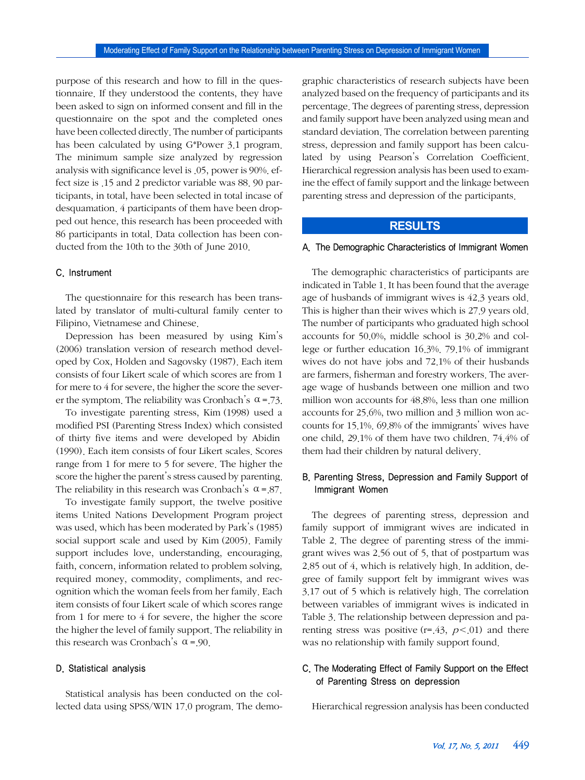purpose of this research and how to fill in the questionnaire. If they understood the contents, they have been asked to sign on informed consent and fill in the questionnaire on the spot and the completed ones have been collected directly. The number of participants has been calculated by using G\*Power 3.1 program. The minimum sample size analyzed by regression analysis with significance level is .05, power is 90%. effect size is .15 and 2 predictor variable was 88. 90 participants, in total, have been selected in total incase of desquamation. 4 participants of them have been dropped out hence, this research has been proceeded with 86 participants in total. Data collection has been conducted from the 10th to the 30th of June 2010.

#### C. Instrument

The questionnaire for this research has been translated by translator of multi-cultural family center to Filipino, Vietnamese and Chinese.

Depression has been measured by using Kim's (2006) translation version of research method developed by Cox, Holden and Sagovsky (1987). Each item consists of four Likert scale of which scores are from 1 for mere to 4 for severe, the higher the score the severer the symptom. The reliability was Cronbach's  $\alpha$  = 73.

To investigate parenting stress, Kim (1998) used a modified PSI (Parenting Stress Index) which consisted of thirty five items and were developed by Abidin (1990). Each item consists of four Likert scales. Scores range from 1 for mere to 5 for severe. The higher the score the higher the parent's stress caused by parenting. The reliability in this research was Cronbach's  $\alpha = .87$ .

To investigate family support, the twelve positive items United Nations Development Program project was used, which has been moderated by Park's (1985) social support scale and used by Kim (2005). Family support includes love, understanding, encouraging, faith, concern, information related to problem solving, required money, commodity, compliments, and recognition which the woman feels from her family. Each item consists of four Likert scale of which scores range from 1 for mere to 4 for severe, the higher the score the higher the level of family support. The reliability in this research was Cronbach's  $\alpha = 90$ .

#### D. Statistical analysis

Statistical analysis has been conducted on the collected data using SPSS/WIN 17.0 program. The demographic characteristics of research subjects have been analyzed based on the frequency of participants and its percentage. The degrees of parenting stress, depression and family support have been analyzed using mean and standard deviation. The correlation between parenting stress, depression and family support has been calculated by using Pearson's Correlation Coefficient. Hierarchical regression analysis has been used to examine the effect of family support and the linkage between parenting stress and depression of the participants.

# **RESULTS**

#### A. The Demographic Characteristics of Immigrant Women

The demographic characteristics of participants are indicated in Table 1. It has been found that the average age of husbands of immigrant wives is 42.3 years old. This is higher than their wives which is 27.9 years old. The number of participants who graduated high school accounts for 50.0%, middle school is 30.2% and college or further education 16.3%. 79.1% of immigrant wives do not have jobs and 72.1% of their husbands are farmers, fisherman and forestry workers. The average wage of husbands between one million and two million won accounts for 48.8%, less than one million accounts for 25.6%, two million and 3 million won accounts for 15.1%. 69.8% of the immigrants' wives have one child, 29.1% of them have two children. 74.4% of them had their children by natural delivery.

## B. Parenting Stress, Depression and Family Support of Immigrant Women

The degrees of parenting stress, depression and family support of immigrant wives are indicated in Table 2. The degree of parenting stress of the immigrant wives was 2.56 out of 5, that of postpartum was 2.85 out of 4, which is relatively high. In addition, degree of family support felt by immigrant wives was 3.17 out of 5 which is relatively high. The correlation between variables of immigrant wives is indicated in Table 3. The relationship between depression and parenting stress was positive  $(r=.43, p<.01)$  and there was no relationship with family support found.

# C. The Moderating Effect of Family Support on the Effect of Parenting Stress on depression

Hierarchical regression analysis has been conducted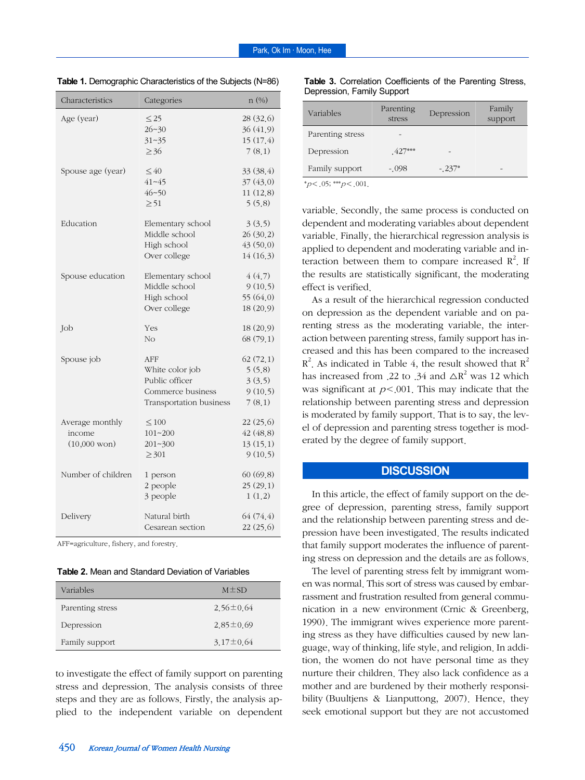| Characteristics        | Categories              | n (%)     |
|------------------------|-------------------------|-----------|
| Age (year)             | $\leq$ 25               | 28 (32.6) |
|                        | $26 - 30$               | 36 (41.9) |
|                        | $31 - 35$               | 15(17.4)  |
|                        | $\geq 36$               | 7(8.1)    |
| Spouse age (year)      | $\leq 40$               | 33 (38.4) |
|                        | $41 - 45$               | 37 (43.0) |
|                        | $46 - 50$               | 11(12,8)  |
|                        | $\geq 51$               | 5(5,8)    |
| Education              | Elementary school       | 3(3.5)    |
|                        | Middle school           | 26(30.2)  |
|                        | High school             | 43 (50.0) |
|                        | Over college            | 14(16,3)  |
| Spouse education       | Elementary school       | 4(4,7)    |
|                        | Middle school           | 9(10.5)   |
|                        | High school             | 55 (64.0) |
|                        | Over college            | 18 (20.9) |
| Job                    | Yes                     | 18 (20.9) |
|                        | No                      | 68 (79.1) |
| Spouse job             | AFF                     | 62(72,1)  |
|                        | White color job         | 5(5.8)    |
|                        | Public officer          | 3(3.5)    |
|                        | Commerce business       | 9(10,5)   |
|                        | Transportation business | 7(8,1)    |
| Average monthly        | $\leq 100$              | 22(25,6)  |
| income                 | $101 - 200$             | 42 (48.8) |
| $(10,000 \text{ won})$ | $201 - 300$             | 13(15,1)  |
|                        | $\geq 301$              | 9(10.5)   |
| Number of children     | 1 person                | 60(69.8)  |
|                        | 2 people                | 25(29.1)  |
|                        | 3 people                | 1(1,2)    |
| Delivery               | Natural birth           | 64 (74.4) |
|                        | Cesarean section        | 22(25,6)  |

**Table 1.** Demographic Characteristics of the Subjects (N=86)

AFF=agriculture, fishery, and forestry.

**Table 2.** Mean and Standard Deviation of Variables

| Variables        | $M \pm SD$      |
|------------------|-----------------|
| Parenting stress | $2,56 \pm 0.64$ |
| Depression       | $2.85 \pm 0.69$ |
| Family support   | $3.17 \pm 0.64$ |

to investigate the effect of family support on parenting stress and depression. The analysis consists of three steps and they are as follows. Firstly, the analysis applied to the independent variable on dependent

| <b>Variables</b> | Parenting<br>stress | Depression | Family<br>support |
|------------------|---------------------|------------|-------------------|
| Parenting stress |                     |            |                   |
| Depression       | 427***              |            |                   |
| Family support   | $-.098$             | $-.237*$   |                   |
|                  |                     |            |                   |

 ${}^*p$  < .05;  ${}^*{}^*p$  < .001.

variable. Secondly, the same process is conducted on dependent and moderating variables about dependent variable. Finally, the hierarchical regression analysis is applied to dependent and moderating variable and interaction between them to compare increased  $R^2$ . If the results are statistically significant, the moderating effect is verified.

As a result of the hierarchical regression conducted on depression as the dependent variable and on parenting stress as the moderating variable, the interaction between parenting stress, family support has increased and this has been compared to the increased  $R^2$ . As indicated in Table 4, the result showed that  $R^2$ has increased from .22 to .34 and  $\Delta R^2$  was 12 which was significant at  $p < .001$ . This may indicate that the relationship between parenting stress and depression is moderated by family support. That is to say, the level of depression and parenting stress together is moderated by the degree of family support.

# **DISCUSSION**

In this article, the effect of family support on the degree of depression, parenting stress, family support and the relationship between parenting stress and depression have been investigated. The results indicated that family support moderates the influence of parenting stress on depression and the details are as follows.

The level of parenting stress felt by immigrant women was normal. This sort of stress was caused by embarrassment and frustration resulted from general communication in a new environment (Crnic & Greenberg, 1990). The immigrant wives experience more parenting stress as they have difficulties caused by new language, way of thinking, life style, and religion. In addition, the women do not have personal time as they nurture their children. They also lack confidence as a mother and are burdened by their motherly responsibility (Buultjens & Lianputtong, 2007). Hence, they seek emotional support but they are not accustomed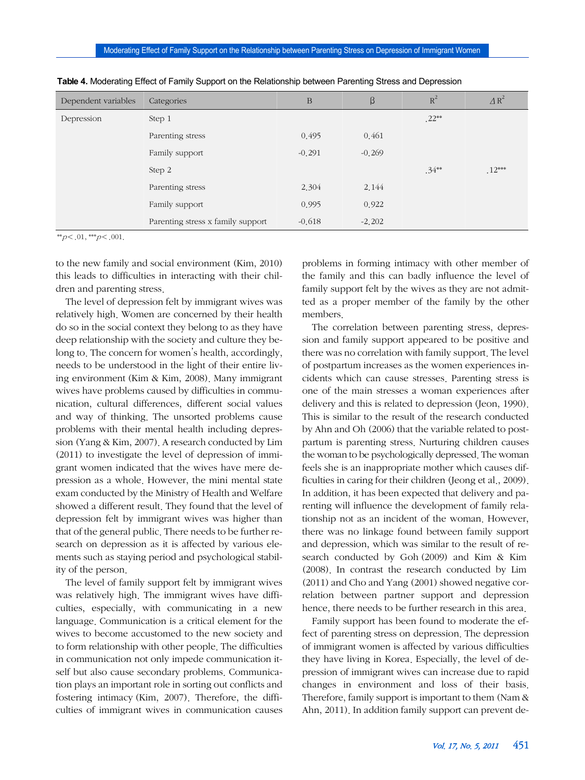| Dependent variables | Categories                        | B        | β        | $R^2$   | $\Delta R^2$ |
|---------------------|-----------------------------------|----------|----------|---------|--------------|
| Depression          | Step 1                            |          |          | $.22**$ |              |
|                     | Parenting stress                  | 0.495    | 0.461    |         |              |
|                     | Family support                    | $-0.291$ | $-0.269$ |         |              |
|                     | Step 2                            |          |          | $.34**$ | $.12***$     |
|                     | Parenting stress                  | 2.304    | 2.144    |         |              |
|                     | Family support                    | 0.995    | 0.922    |         |              |
|                     | Parenting stress x family support | $-0.618$ | $-2,202$ |         |              |

**Table 4.** Moderating Effect of Family Support on the Relationship between Parenting Stress and Depression

 $^{**}p<.01, ^{***}p<.001.$ 

to the new family and social environment (Kim, 2010) this leads to difficulties in interacting with their children and parenting stress.

The level of depression felt by immigrant wives was relatively high. Women are concerned by their health do so in the social context they belong to as they have deep relationship with the society and culture they belong to. The concern for women's health, accordingly, needs to be understood in the light of their entire living environment (Kim & Kim, 2008). Many immigrant wives have problems caused by difficulties in communication, cultural differences, different social values and way of thinking. The unsorted problems cause problems with their mental health including depression (Yang & Kim, 2007). A research conducted by Lim (2011) to investigate the level of depression of immigrant women indicated that the wives have mere depression as a whole. However, the mini mental state exam conducted by the Ministry of Health and Welfare showed a different result. They found that the level of depression felt by immigrant wives was higher than that of the general public. There needs to be further research on depression as it is affected by various elements such as staying period and psychological stability of the person.

The level of family support felt by immigrant wives was relatively high. The immigrant wives have difficulties, especially, with communicating in a new language. Communication is a critical element for the wives to become accustomed to the new society and to form relationship with other people. The difficulties in communication not only impede communication itself but also cause secondary problems. Communication plays an important role in sorting out conflicts and fostering intimacy (Kim, 2007). Therefore, the difficulties of immigrant wives in communication causes problems in forming intimacy with other member of the family and this can badly influence the level of family support felt by the wives as they are not admitted as a proper member of the family by the other members.

The correlation between parenting stress, depression and family support appeared to be positive and there was no correlation with family support. The level of postpartum increases as the women experiences incidents which can cause stresses. Parenting stress is one of the main stresses a woman experiences after delivery and this is related to depression (Jeon, 1990). This is similar to the result of the research conducted by Ahn and Oh (2006) that the variable related to postpartum is parenting stress. Nurturing children causes the woman to be psychologically depressed. The woman feels she is an inappropriate mother which causes difficulties in caring for their children (Jeong et al., 2009). In addition, it has been expected that delivery and parenting will influence the development of family relationship not as an incident of the woman. However, there was no linkage found between family support and depression, which was similar to the result of research conducted by Goh (2009) and Kim & Kim (2008). In contrast the research conducted by Lim (2011) and Cho and Yang (2001) showed negative correlation between partner support and depression hence, there needs to be further research in this area.

Family support has been found to moderate the effect of parenting stress on depression. The depression of immigrant women is affected by various difficulties they have living in Korea. Especially, the level of depression of immigrant wives can increase due to rapid changes in environment and loss of their basis. Therefore, family support is important to them (Nam & Ahn, 2011). In addition family support can prevent de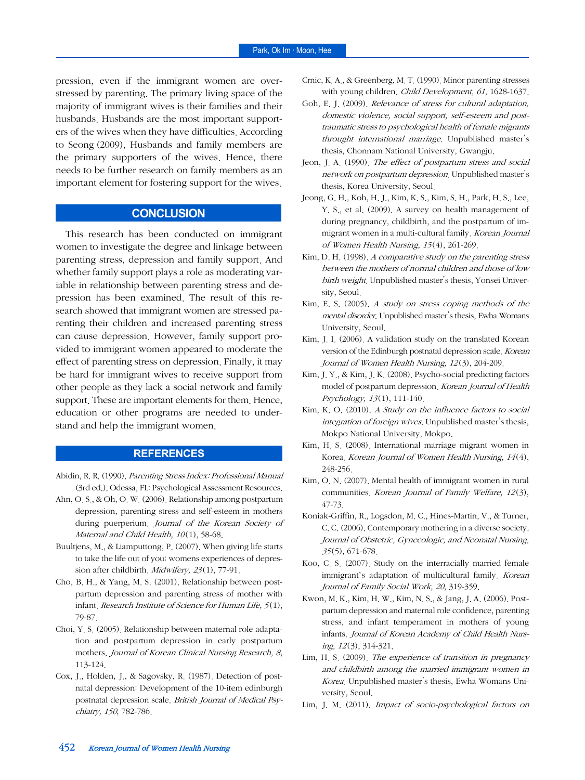pression, even if the immigrant women are overstressed by parenting. The primary living space of the majority of immigrant wives is their families and their husbands. Husbands are the most important supporters of the wives when they have difficulties. According to Seong (2009), Husbands and family members are the primary supporters of the wives. Hence, there needs to be further research on family members as an important element for fostering support for the wives.

# **CONCLUSION**

This research has been conducted on immigrant women to investigate the degree and linkage between parenting stress, depression and family support. And whether family support plays a role as moderating variable in relationship between parenting stress and depression has been examined. The result of this research showed that immigrant women are stressed parenting their children and increased parenting stress can cause depression. However, family support provided to immigrant women appeared to moderate the effect of parenting stress on depression. Finally, it may be hard for immigrant wives to receive support from other people as they lack a social network and family support. These are important elements for them. Hence, education or other programs are needed to understand and help the immigrant women.

### **REFERENCES**

- Abidin, R. R. (1990). Parenting Stress Index: Professional Manual (3rd ed.). Odessa, FL: Psychological Assessment Resources.
- Ahn, O. S., & Oh, O. W. (2006). Relationship among postpartum depression, parenting stress and self-esteem in mothers during puerperium. Journal of the Korean Society of Maternal and Child Health, 10(1), 58-68.
- Buultjens, M., & Liamputtong, P. (2007). When giving life starts to take the life out of you: womens experiences of depression after childbirth. Midwifery, 23(1), 77-91.
- Cho, B. H., & Yang, M. S. (2001). Relationship between postpartum depression and parenting stress of mother with infant. Research Institute of Science for Human Life, 5(1), 79-87.
- Choi, Y. S. (2005). Relationship between maternal role adaptation and postpartum depression in early postpartum mothers. Journal of Korean Clinical Nursing Research, 8, 113-124.
- Cox, J., Holden, J., & Sagovsky, R. (1987). Detection of postnatal depression: Development of the 10-item edinburgh postnatal depression scale. British Journal of Medical Psychiatry, 150, 782-786.
- Crnic, K. A., & Greenberg, M. T. (1990). Minor parenting stresses with young children. Child Development, 61, 1628-1637.
- Goh, E. J. (2009). Relevance of stress for cultural adaptation, domestic violence, social support, self-esteem and posttraumatic stress to psychological health of female migrants throught international marriage. Unpublished master's thesis, Chonnam National University, Gwangju.
- Jeon, J. A. (1990). The effect of postpartum stress and social network on postpartum depression. Unpublished master's thesis, Korea University, Seoul.
- Jeong, G. H., Koh, H. J., Kim, K. S., Kim, S. H., Park, H. S., Lee, Y. S., et al. (2009). A survey on health management of during pregnancy, childbirth, and the postpartum of immigrant women in a multi-cultural family. Korean Journal of Women Health Nursing, 15(4), 261-269.
- Kim, D. H. (1998). A comparative study on the parenting stress between the mothers of normal children and those of low birth weight. Unpublished master's thesis, Yonsei University, Seoul.
- Kim, E. S. (2005). A study on stress coping methods of the mental disorder. Unpublished master's thesis, Ewha Womans University, Seoul.
- Kim, J. I. (2006). A validation study on the translated Korean version of the Edinburgh postnatal depression scale. Korean Journal of Women Health Nursing, 12(3), 204-209.
- Kim, J. Y., & Kim, J. K. (2008). Psycho-social predicting factors model of postpartum depression. Korean Journal of Health Psychology, 13(1), 111-140.
- Kim, K. O. (2010). A Study on the influence factors to social integration of foreign wives. Unpublished master's thesis, Mokpo National University, Mokpo.
- Kim, H. S. (2008). International marriage migrant women in Korea. Korean Journal of Women Health Nursing, 14(4), 248-256.
- Kim, O. N. (2007). Mental health of immigrant women in rural communities. Korean Journal of Family Welfare, 12(3), 47-73.
- Koniak-Griffin, R., Logsdon, M. C., Hines-Martin, V., & Turner, C. C. (2006). Contemporary mothering in a diverse society. Journal of Obstetric, Gynecologic, and Neonatal Nursing, 35(5), 671-678.
- Koo, C. S. (2007). Study on the interracially married female immigrant`s adaptation of multicultural family. Korean Journal of Family Social Work, 20, 319-359.
- Kwon, M. K., Kim, H. W., Kim, N. S., & Jang, J. A. (2006). Postpartum depression and maternal role confidence, parenting stress, and infant temperament in mothers of young infants. Journal of Korean Academy of Child Health Nursing, 12(3), 314-321.
- Lim, H. S. (2009). The experience of transition in pregnancy and childbirth among the married immigrant women in Korea. Unpublished master's thesis, Ewha Womans University, Seoul.
- Lim, J. M. (2011). Impact of socio-psychological factors on